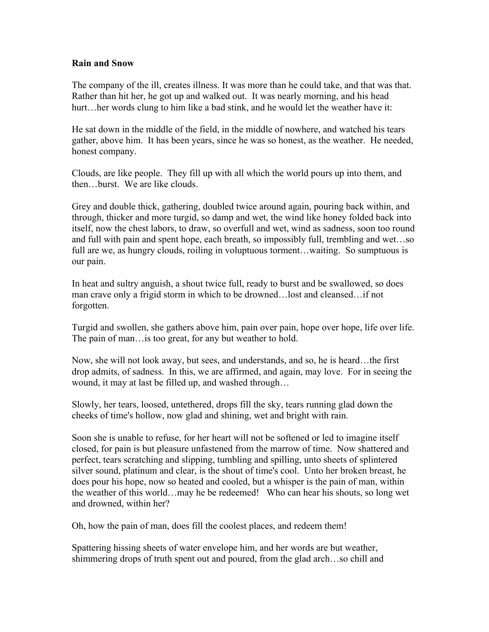## **Rain and Snow**

The company of the ill, creates illness. It was more than he could take, and that was that. Rather than hit her, he got up and walked out. It was nearly morning, and his head hurt…her words clung to him like a bad stink, and he would let the weather have it:

He sat down in the middle of the field, in the middle of nowhere, and watched his tears gather, above him. It has been years, since he was so honest, as the weather. He needed, honest company.

Clouds, are like people. They fill up with all which the world pours up into them, and then…burst. We are like clouds.

Grey and double thick, gathering, doubled twice around again, pouring back within, and through, thicker and more turgid, so damp and wet, the wind like honey folded back into itself, now the chest labors, to draw, so overfull and wet, wind as sadness, soon too round and full with pain and spent hope, each breath, so impossibly full, trembling and wet…so full are we, as hungry clouds, roiling in voluptuous torment...waiting. So sumptuous is our pain.

In heat and sultry anguish, a shout twice full, ready to burst and be swallowed, so does man crave only a frigid storm in which to be drowned…lost and cleansed…if not forgotten.

Turgid and swollen, she gathers above him, pain over pain, hope over hope, life over life. The pain of man…is too great, for any but weather to hold.

Now, she will not look away, but sees, and understands, and so, he is heard…the first drop admits, of sadness. In this, we are affirmed, and again, may love. For in seeing the wound, it may at last be filled up, and washed through…

Slowly, her tears, loosed, untethered, drops fill the sky, tears running glad down the cheeks of time's hollow, now glad and shining, wet and bright with rain.

Soon she is unable to refuse, for her heart will not be softened or led to imagine itself closed, for pain is but pleasure unfastened from the marrow of time. Now shattered and perfect, tears scratching and slipping, tumbling and spilling, unto sheets of splintered silver sound, platinum and clear, is the shout of time's cool. Unto her broken breast, he does pour his hope, now so heated and cooled, but a whisper is the pain of man, within the weather of this world…may he be redeemed! Who can hear his shouts, so long wet and drowned, within her?

Oh, how the pain of man, does fill the coolest places, and redeem them!

Spattering hissing sheets of water envelope him, and her words are but weather, shimmering drops of truth spent out and poured, from the glad arch…so chill and